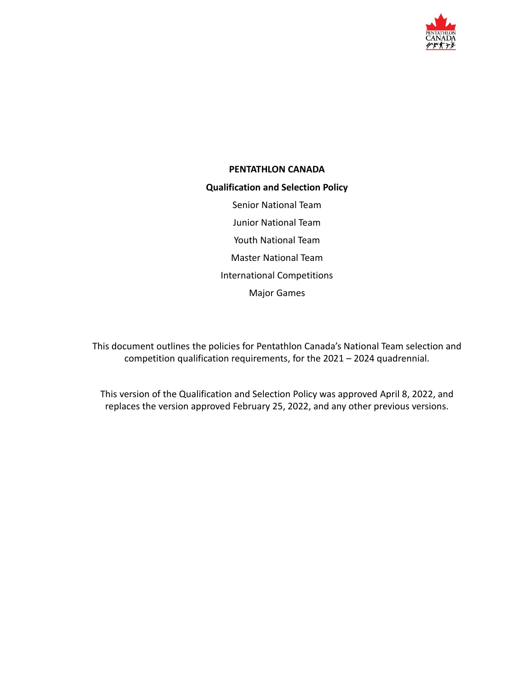

# **PENTATHLON CANADA**

#### **Qualification and Selection Policy**

Senior National Team Junior National Team Youth National Team Master National Team International Competitions Major Games

This document outlines the policies for Pentathlon Canada's National Team selection and competition qualification requirements, for the 2021 – 2024 quadrennial.

This version of the Qualification and Selection Policy was approved April 8, 2022, and replaces the version approved February 25, 2022, and any other previous versions.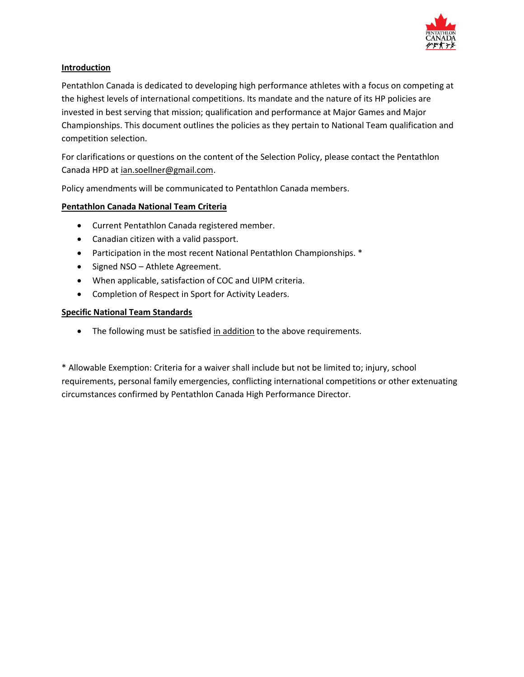

#### **Introduction**

Pentathlon Canada is dedicated to developing high performance athletes with a focus on competing at the highest levels of international competitions. Its mandate and the nature of its HP policies are invested in best serving that mission; qualification and performance at Major Games and Major Championships. This document outlines the policies as they pertain to National Team qualification and competition selection.

For clarifications or questions on the content of the Selection Policy, please contact the Pentathlon Canada HPD at [ian.soellner@gmail.com.](mailto:ian.soellner@gmail.com)

Policy amendments will be communicated to Pentathlon Canada members.

## **Pentathlon Canada National Team Criteria**

- Current Pentathlon Canada registered member.
- Canadian citizen with a valid passport.
- Participation in the most recent National Pentathlon Championships. \*
- Signed NSO Athlete Agreement.
- When applicable, satisfaction of COC and UIPM criteria.
- Completion of Respect in Sport for Activity Leaders.

#### **Specific National Team Standards**

• The following must be satisfied in addition to the above requirements.

\* Allowable Exemption: Criteria for a waiver shall include but not be limited to; injury, school requirements, personal family emergencies, conflicting international competitions or other extenuating circumstances confirmed by Pentathlon Canada High Performance Director.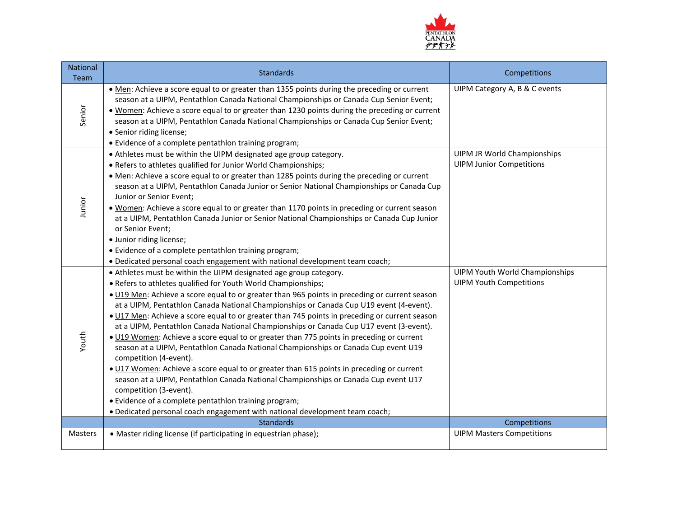

| <b>National</b><br>Team | <b>Standards</b>                                                                                                                                                                                                                                                                                                                                                                                                                                                                                                                                                                                                                                                                                                                                                                                                                                                                                                                                                                                                                                                                         | Competitions                                                            |
|-------------------------|------------------------------------------------------------------------------------------------------------------------------------------------------------------------------------------------------------------------------------------------------------------------------------------------------------------------------------------------------------------------------------------------------------------------------------------------------------------------------------------------------------------------------------------------------------------------------------------------------------------------------------------------------------------------------------------------------------------------------------------------------------------------------------------------------------------------------------------------------------------------------------------------------------------------------------------------------------------------------------------------------------------------------------------------------------------------------------------|-------------------------------------------------------------------------|
| Senior                  | . Men: Achieve a score equal to or greater than 1355 points during the preceding or current<br>season at a UIPM, Pentathlon Canada National Championships or Canada Cup Senior Event;<br>. Women: Achieve a score equal to or greater than 1230 points during the preceding or current<br>season at a UIPM, Pentathlon Canada National Championships or Canada Cup Senior Event;<br>• Senior riding license;<br>• Evidence of a complete pentathlon training program;                                                                                                                                                                                                                                                                                                                                                                                                                                                                                                                                                                                                                    | UIPM Category A, B & C events                                           |
| Junior                  | • Athletes must be within the UIPM designated age group category.<br>• Refers to athletes qualified for Junior World Championships;<br>. Men: Achieve a score equal to or greater than 1285 points during the preceding or current<br>season at a UIPM, Pentathlon Canada Junior or Senior National Championships or Canada Cup<br>Junior or Senior Event;<br>. Women: Achieve a score equal to or greater than 1170 points in preceding or current season<br>at a UIPM, Pentathlon Canada Junior or Senior National Championships or Canada Cup Junior<br>or Senior Event;<br>· Junior riding license;<br>• Evidence of a complete pentathlon training program;<br>. Dedicated personal coach engagement with national development team coach;                                                                                                                                                                                                                                                                                                                                          | <b>UIPM JR World Championships</b><br><b>UIPM Junior Competitions</b>   |
| Youth                   | • Athletes must be within the UIPM designated age group category.<br>• Refers to athletes qualified for Youth World Championships;<br>. U19 Men: Achieve a score equal to or greater than 965 points in preceding or current season<br>at a UIPM, Pentathlon Canada National Championships or Canada Cup U19 event (4-event).<br>. U17 Men: Achieve a score equal to or greater than 745 points in preceding or current season<br>at a UIPM, Pentathlon Canada National Championships or Canada Cup U17 event (3-event).<br>. U19 Women: Achieve a score equal to or greater than 775 points in preceding or current<br>season at a UIPM, Pentathlon Canada National Championships or Canada Cup event U19<br>competition (4-event).<br>. U17 Women: Achieve a score equal to or greater than 615 points in preceding or current<br>season at a UIPM, Pentathlon Canada National Championships or Canada Cup event U17<br>competition (3-event).<br>• Evidence of a complete pentathlon training program;<br>. Dedicated personal coach engagement with national development team coach; | <b>UIPM Youth World Championships</b><br><b>UIPM Youth Competitions</b> |
|                         | <b>Standards</b>                                                                                                                                                                                                                                                                                                                                                                                                                                                                                                                                                                                                                                                                                                                                                                                                                                                                                                                                                                                                                                                                         | Competitions                                                            |
| <b>Masters</b>          | • Master riding license (if participating in equestrian phase);                                                                                                                                                                                                                                                                                                                                                                                                                                                                                                                                                                                                                                                                                                                                                                                                                                                                                                                                                                                                                          | <b>UIPM Masters Competitions</b>                                        |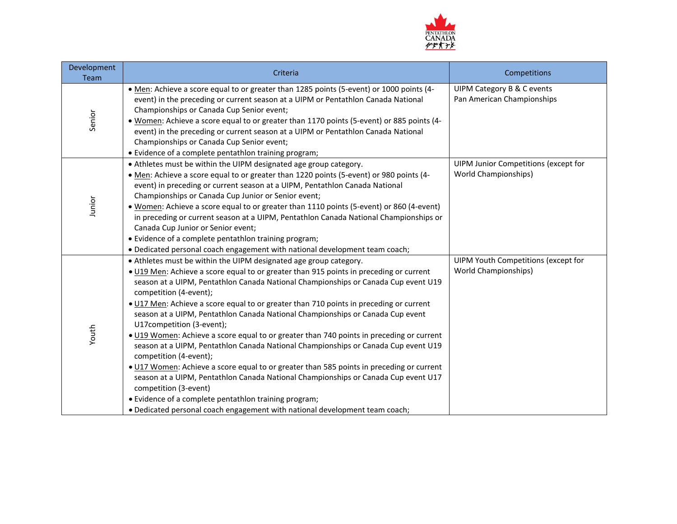

| Development<br>Team | Criteria                                                                                                                                                                                                                                                                                                                                                                                                                                                                                                                                                                                                                                                                                                                                                                                                                                                                                                                                                                                                                                            | Competitions                                                        |
|---------------------|-----------------------------------------------------------------------------------------------------------------------------------------------------------------------------------------------------------------------------------------------------------------------------------------------------------------------------------------------------------------------------------------------------------------------------------------------------------------------------------------------------------------------------------------------------------------------------------------------------------------------------------------------------------------------------------------------------------------------------------------------------------------------------------------------------------------------------------------------------------------------------------------------------------------------------------------------------------------------------------------------------------------------------------------------------|---------------------------------------------------------------------|
| Senior              | .4 Men: Achieve a score equal to or greater than 1285 points (5-event) or 1000 points (4-<br>event) in the preceding or current season at a UIPM or Pentathlon Canada National<br>Championships or Canada Cup Senior event;<br>.4 Women: Achieve a score equal to or greater than 1170 points (5-event) or 885 points (4-<br>event) in the preceding or current season at a UIPM or Pentathlon Canada National<br>Championships or Canada Cup Senior event;<br>• Evidence of a complete pentathlon training program;                                                                                                                                                                                                                                                                                                                                                                                                                                                                                                                                | UIPM Category B & C events<br>Pan American Championships            |
| Junior              | • Athletes must be within the UIPM designated age group category.<br>• Men: Achieve a score equal to or greater than 1220 points (5-event) or 980 points (4-<br>event) in preceding or current season at a UIPM, Pentathlon Canada National<br>Championships or Canada Cup Junior or Senior event;<br>. Women: Achieve a score equal to or greater than 1110 points (5-event) or 860 (4-event)<br>in preceding or current season at a UIPM, Pentathlon Canada National Championships or<br>Canada Cup Junior or Senior event;<br>• Evidence of a complete pentathlon training program;<br>. Dedicated personal coach engagement with national development team coach;                                                                                                                                                                                                                                                                                                                                                                               | UIPM Junior Competitions (except for<br><b>World Championships)</b> |
| Youth               | • Athletes must be within the UIPM designated age group category.<br>. U19 Men: Achieve a score equal to or greater than 915 points in preceding or current<br>season at a UIPM, Pentathlon Canada National Championships or Canada Cup event U19<br>competition (4-event);<br>. U17 Men: Achieve a score equal to or greater than 710 points in preceding or current<br>season at a UIPM, Pentathlon Canada National Championships or Canada Cup event<br>U17competition (3-event);<br>• U19 Women: Achieve a score equal to or greater than 740 points in preceding or current<br>season at a UIPM, Pentathlon Canada National Championships or Canada Cup event U19<br>competition (4-event);<br>. U17 Women: Achieve a score equal to or greater than 585 points in preceding or current<br>season at a UIPM, Pentathlon Canada National Championships or Canada Cup event U17<br>competition (3-event)<br>• Evidence of a complete pentathlon training program;<br>. Dedicated personal coach engagement with national development team coach; | UIPM Youth Competitions (except for<br><b>World Championships)</b>  |